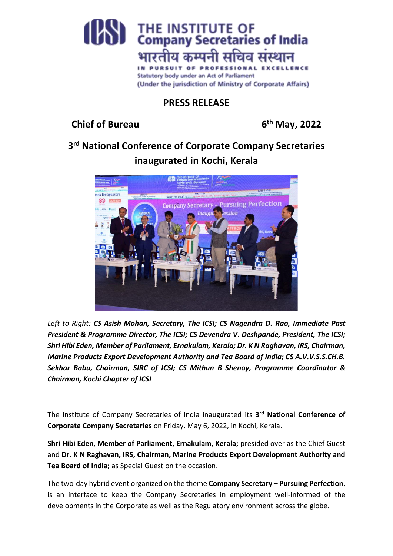

## **PRESS RELEASE**

**Chief of Bureau 6**

**th May, 2022**

**3 rd National Conference of Corporate Company Secretaries inaugurated in Kochi, Kerala**



*Left to Right: CS Asish Mohan, Secretary, The ICSI; CS Nagendra D. Rao, Immediate Past President & Programme Director, The ICSI; CS Devendra V. Deshpande, President, The ICSI; Shri Hibi Eden, Member of Parliament, Ernakulam, Kerala; Dr. K N Raghavan, IRS, Chairman, Marine Products Export Development Authority and Tea Board of India; CS A.V.V.S.S.CH.B. Sekhar Babu, Chairman, SIRC of ICSI; CS Mithun B Shenoy, Programme Coordinator & Chairman, Kochi Chapter of ICSI*

The Institute of Company Secretaries of India inaugurated its **3 rd National Conference of Corporate Company Secretaries** on Friday, May 6, 2022, in Kochi, Kerala.

**Shri Hibi Eden, Member of Parliament, Ernakulam, Kerala;** presided over as the Chief Guest and **Dr. K N Raghavan, IRS, Chairman, Marine Products Export Development Authority and Tea Board of India;** as Special Guest on the occasion.

The two-day hybrid event organized on the theme **Company Secretary – Pursuing Perfection**, is an interface to keep the Company Secretaries in employment well-informed of the developments in the Corporate as well as the Regulatory environment across the globe.